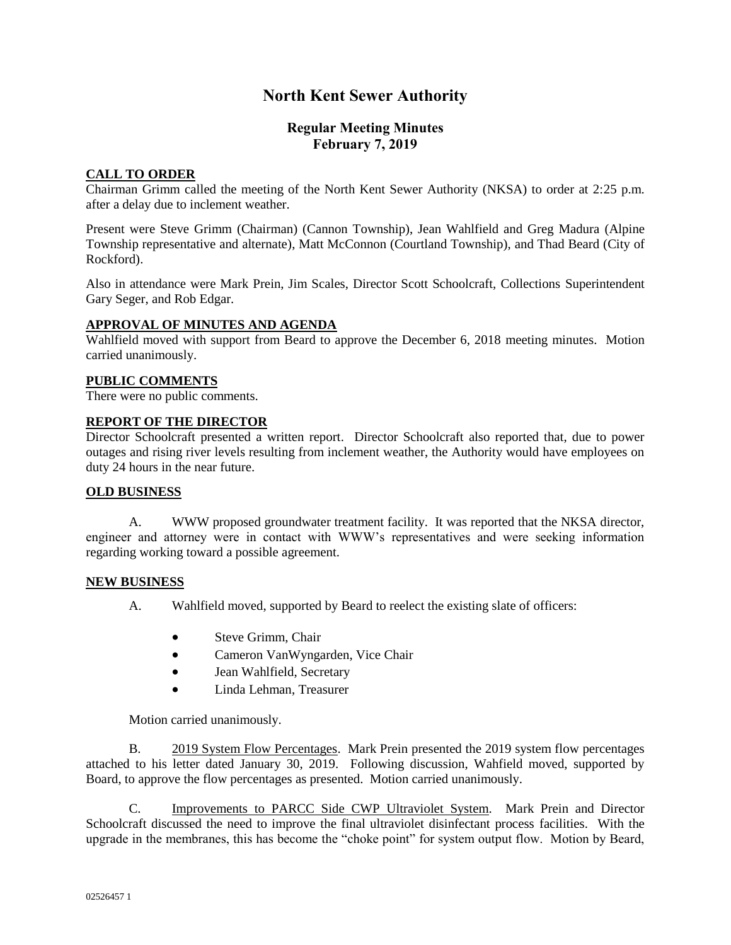# **North Kent Sewer Authority**

# **Regular Meeting Minutes February 7, 2019**

## **CALL TO ORDER**

Chairman Grimm called the meeting of the North Kent Sewer Authority (NKSA) to order at 2:25 p.m. after a delay due to inclement weather.

Present were Steve Grimm (Chairman) (Cannon Township), Jean Wahlfield and Greg Madura (Alpine Township representative and alternate), Matt McConnon (Courtland Township), and Thad Beard (City of Rockford).

Also in attendance were Mark Prein, Jim Scales, Director Scott Schoolcraft, Collections Superintendent Gary Seger, and Rob Edgar.

## **APPROVAL OF MINUTES AND AGENDA**

Wahlfield moved with support from Beard to approve the December 6, 2018 meeting minutes. Motion carried unanimously.

#### **PUBLIC COMMENTS**

There were no public comments.

## **REPORT OF THE DIRECTOR**

Director Schoolcraft presented a written report. Director Schoolcraft also reported that, due to power outages and rising river levels resulting from inclement weather, the Authority would have employees on duty 24 hours in the near future.

## **OLD BUSINESS**

A. WWW proposed groundwater treatment facility. It was reported that the NKSA director, engineer and attorney were in contact with WWW's representatives and were seeking information regarding working toward a possible agreement.

#### **NEW BUSINESS**

- A. Wahlfield moved, supported by Beard to reelect the existing slate of officers:
	- Steve Grimm, Chair
	- Cameron VanWyngarden, Vice Chair
	- Jean Wahlfield, Secretary
	- Linda Lehman, Treasurer

Motion carried unanimously.

B. 2019 System Flow Percentages. Mark Prein presented the 2019 system flow percentages attached to his letter dated January 30, 2019. Following discussion, Wahfield moved, supported by Board, to approve the flow percentages as presented. Motion carried unanimously.

C. Improvements to PARCC Side CWP Ultraviolet System. Mark Prein and Director Schoolcraft discussed the need to improve the final ultraviolet disinfectant process facilities. With the upgrade in the membranes, this has become the "choke point" for system output flow. Motion by Beard,